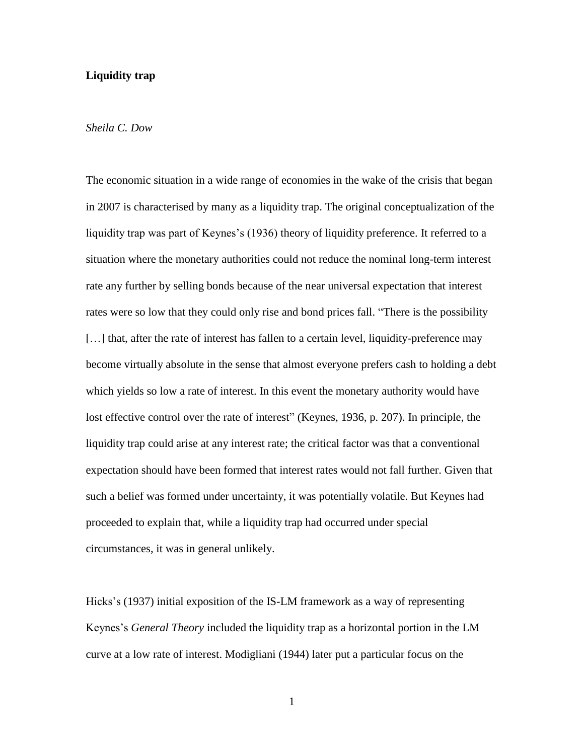## **Liquidity trap**

## *Sheila C. Dow*

The economic situation in a wide range of economies in the wake of the crisis that began in 2007 is characterised by many as a liquidity trap. The original conceptualization of the liquidity trap was part of Keynes's (1936) theory of liquidity preference. It referred to a situation where the monetary authorities could not reduce the nominal long-term interest rate any further by selling bonds because of the near universal expectation that interest rates were so low that they could only rise and bond prices fall. "There is the possibility [...] that, after the rate of interest has fallen to a certain level, liquidity-preference may become virtually absolute in the sense that almost everyone prefers cash to holding a debt which yields so low a rate of interest. In this event the monetary authority would have lost effective control over the rate of interest" (Keynes, 1936, p. 207). In principle, the liquidity trap could arise at any interest rate; the critical factor was that a conventional expectation should have been formed that interest rates would not fall further. Given that such a belief was formed under uncertainty, it was potentially volatile. But Keynes had proceeded to explain that, while a liquidity trap had occurred under special circumstances, it was in general unlikely.

Hicks's (1937) initial exposition of the IS-LM framework as a way of representing Keynes's *General Theory* included the liquidity trap as a horizontal portion in the LM curve at a low rate of interest. Modigliani (1944) later put a particular focus on the

1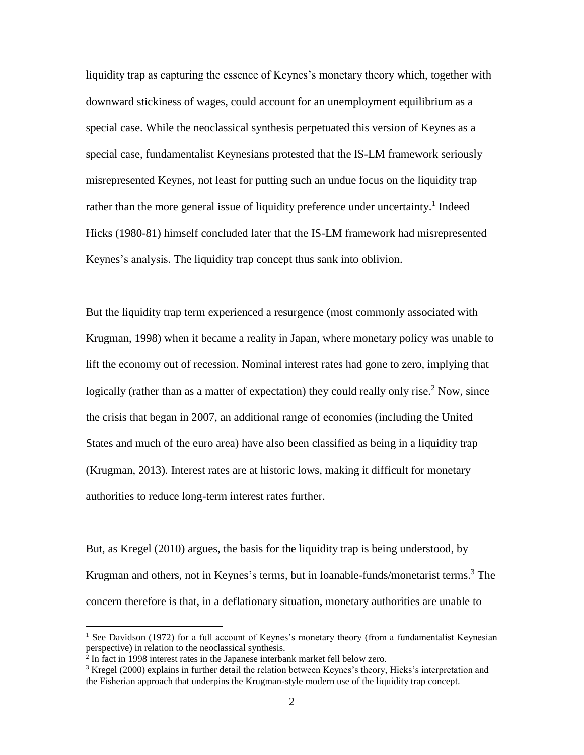liquidity trap as capturing the essence of Keynes's monetary theory which, together with downward stickiness of wages, could account for an unemployment equilibrium as a special case. While the neoclassical synthesis perpetuated this version of Keynes as a special case, fundamentalist Keynesians protested that the IS-LM framework seriously misrepresented Keynes, not least for putting such an undue focus on the liquidity trap rather than the more general issue of liquidity preference under uncertainty.<sup>1</sup> Indeed Hicks (1980-81) himself concluded later that the IS-LM framework had misrepresented Keynes's analysis. The liquidity trap concept thus sank into oblivion.

But the liquidity trap term experienced a resurgence (most commonly associated with Krugman, 1998) when it became a reality in Japan, where monetary policy was unable to lift the economy out of recession. Nominal interest rates had gone to zero, implying that logically (rather than as a matter of expectation) they could really only rise.<sup>2</sup> Now, since the crisis that began in 2007, an additional range of economies (including the United States and much of the euro area) have also been classified as being in a liquidity trap (Krugman, 2013). Interest rates are at historic lows, making it difficult for monetary authorities to reduce long-term interest rates further.

But, as Kregel (2010) argues, the basis for the liquidity trap is being understood, by Krugman and others, not in Keynes's terms, but in loanable-funds/monetarist terms. <sup>3</sup> The concern therefore is that, in a deflationary situation, monetary authorities are unable to

 $\overline{a}$ 

<sup>&</sup>lt;sup>1</sup> See Davidson (1972) for a full account of Keynes's monetary theory (from a fundamentalist Keynesian perspective) in relation to the neoclassical synthesis.

<sup>&</sup>lt;sup>2</sup> In fact in 1998 interest rates in the Japanese interbank market fell below zero.

 $3$  Kregel (2000) explains in further detail the relation between Keynes's theory, Hicks's interpretation and the Fisherian approach that underpins the Krugman-style modern use of the liquidity trap concept.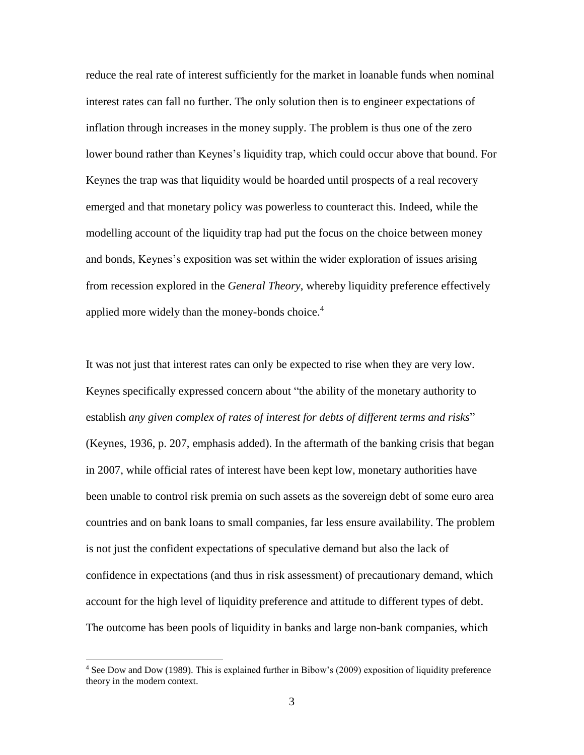reduce the real rate of interest sufficiently for the market in loanable funds when nominal interest rates can fall no further. The only solution then is to engineer expectations of inflation through increases in the money supply. The problem is thus one of the zero lower bound rather than Keynes's liquidity trap, which could occur above that bound. For Keynes the trap was that liquidity would be hoarded until prospects of a real recovery emerged and that monetary policy was powerless to counteract this. Indeed, while the modelling account of the liquidity trap had put the focus on the choice between money and bonds, Keynes's exposition was set within the wider exploration of issues arising from recession explored in the *General Theory*, whereby liquidity preference effectively applied more widely than the money-bonds choice.<sup>4</sup>

It was not just that interest rates can only be expected to rise when they are very low. Keynes specifically expressed concern about "the ability of the monetary authority to establish *any given complex of rates of interest for debts of different terms and risks*" (Keynes, 1936, p. 207, emphasis added). In the aftermath of the banking crisis that began in 2007, while official rates of interest have been kept low, monetary authorities have been unable to control risk premia on such assets as the sovereign debt of some euro area countries and on bank loans to small companies, far less ensure availability. The problem is not just the confident expectations of speculative demand but also the lack of confidence in expectations (and thus in risk assessment) of precautionary demand, which account for the high level of liquidity preference and attitude to different types of debt. The outcome has been pools of liquidity in banks and large non-bank companies, which

 $\overline{a}$ 

<sup>4</sup> See Dow and Dow (1989). This is explained further in Bibow's (2009) exposition of liquidity preference theory in the modern context.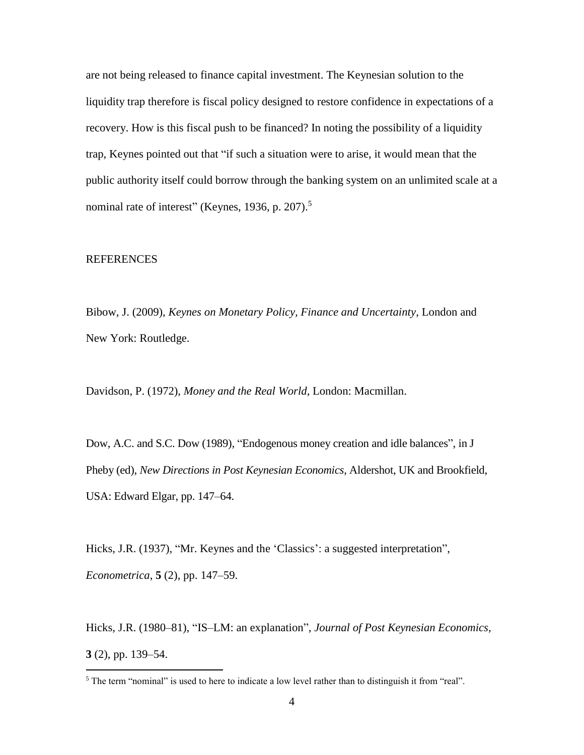are not being released to finance capital investment. The Keynesian solution to the liquidity trap therefore is fiscal policy designed to restore confidence in expectations of a recovery. How is this fiscal push to be financed? In noting the possibility of a liquidity trap, Keynes pointed out that "if such a situation were to arise, it would mean that the public authority itself could borrow through the banking system on an unlimited scale at a nominal rate of interest" (Keynes, 1936, p. 207).<sup>5</sup>

## **REFERENCES**

 $\overline{a}$ 

Bibow, J. (2009), *Keynes on Monetary Policy, Finance and Uncertainty*, London and New York: Routledge.

Davidson, P. (1972), *Money and the Real World*, London: Macmillan.

Dow, A.C. and S.C. Dow (1989), "Endogenous money creation and idle balances", in J Pheby (ed), *New Directions in Post Keynesian Economics*, Aldershot, UK and Brookfield, USA: Edward Elgar, pp. 147–64.

Hicks, J.R. (1937), "Mr. Keynes and the 'Classics': a suggested interpretation", *Econometrica*, **5** (2), pp. 147–59.

Hicks, J.R. (1980–81), "IS–LM: an explanation", *Journal of Post Keynesian Economics*, **3** (2), pp. 139–54.

<sup>5</sup> The term "nominal" is used to here to indicate a low level rather than to distinguish it from "real".